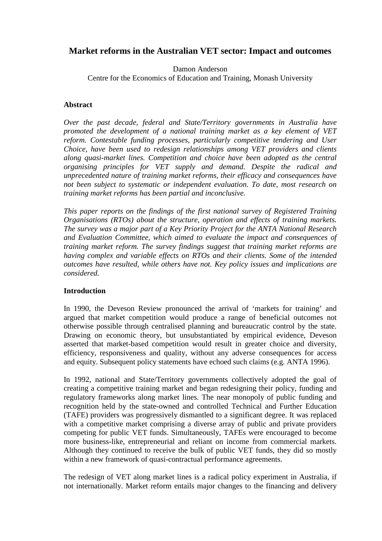# **Market reforms in the Australian VET sector: Impact and outcomes**

Damon Anderson

Centre for the Economics of Education and Training, Monash University

### **Abstract**

*Over the past decade, federal and State/Territory governments in Australia have promoted the development of a national training market as a key element of VET reform. Contestable funding processes, particularly competitive tendering and User Choice, have been used to redesign relationships among VET providers and clients along quasi-market lines. Competition and choice have been adopted as the central organising principles for VET supply and demand. Despite the radical and unprecedented nature of training market reforms, their efficacy and consequences have not been subject to systematic or independent evaluation. To date, most research on training market reforms has been partial and inconclusive.* 

*This paper reports on the findings of the first national survey of Registered Training Organisations (RTOs) about the structure, operation and effects of training markets. The survey was a major part of a Key Priority Project for the ANTA National Research and Evaluation Committee, which aimed to evaluate the impact and consequences of training market reform. The survey findings suggest that training market reforms are having complex and variable effects on RTOs and their clients. Some of the intended outcomes have resulted, while others have not. Key policy issues and implications are considered.* 

# **Introduction**

In 1990, the Deveson Review pronounced the arrival of 'markets for training' and argued that market competition would produce a range of beneficial outcomes not otherwise possible through centralised planning and bureaucratic control by the state. Drawing on economic theory, but unsubstantiated by empirical evidence, Deveson asserted that market-based competition would result in greater choice and diversity, efficiency, responsiveness and quality, without any adverse consequences for access and equity. Subsequent policy statements have echoed such claims (e.g. ANTA 1996).

In 1992, national and State/Territory governments collectively adopted the goal of creating a competitive training market and began redesigning their policy, funding and regulatory frameworks along market lines. The near monopoly of public funding and recognition held by the state-owned and controlled Technical and Further Education (TAFE) providers was progressively dismantled to a significant degree. It was replaced with a competitive market comprising a diverse array of public and private providers competing for public VET funds. Simultaneously, TAFEs were encouraged to become more business-like, entrepreneurial and reliant on income from commercial markets. Although they continued to receive the bulk of public VET funds, they did so mostly within a new framework of quasi-contractual performance agreements.

The redesign of VET along market lines is a radical policy experiment in Australia, if not internationally. Market reform entails major changes to the financing and delivery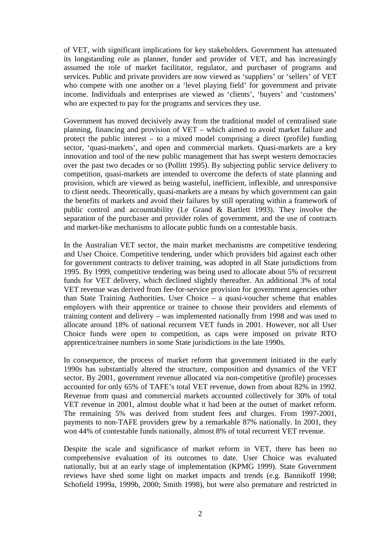of VET, with significant implications for key stakeholders. Government has attenuated its longstanding role as planner, funder and provider of VET, and has increasingly assumed the role of market facilitator, regulator, and purchaser of programs and services. Public and private providers are now viewed as 'suppliers' or 'sellers' of VET who compete with one another on a 'level playing field' for government and private income. Individuals and enterprises are viewed as 'clients', 'buyers' and 'customers' who are expected to pay for the programs and services they use.

Government has moved decisively away from the traditional model of centralised state planning, financing and provision of VET – which aimed to avoid market failure and protect the public interest – to a mixed model comprising a direct (profile) funding sector, 'quasi-markets', and open and commercial markets. Quasi-markets are a key innovation and tool of the new public management that has swept western democracies over the past two decades or so (Pollitt 1995). By subjecting public service delivery to competition, quasi-markets are intended to overcome the defects of state planning and provision, which are viewed as being wasteful, inefficient, inflexible, and unresponsive to client needs. Theoretically, quasi-markets are a means by which government can gain the benefits of markets and avoid their failures by still operating within a framework of public control and accountability (Le Grand & Bartlett 1993). They involve the separation of the purchaser and provider roles of government, and the use of contracts and market-like mechanisms to allocate public funds on a contestable basis.

In the Australian VET sector, the main market mechanisms are competitive tendering and User Choice. Competitive tendering, under which providers bid against each other for government contracts to deliver training, was adopted in all State jurisdictions from 1995. By 1999, competitive tendering was being used to allocate about 5% of recurrent funds for VET delivery, which declined slightly thereafter. An additional 3% of total VET revenue was derived from fee-for-service provision for government agencies other than State Training Authorities. User Choice – a quasi-voucher scheme that enables employers with their apprentice or trainee to choose their providers and elements of training content and delivery – was implemented nationally from 1998 and was used to allocate around 18% of national recurrent VET funds in 2001. However, not all User Choice funds were open to competition, as caps were imposed on private RTO apprentice/trainee numbers in some State jurisdictions in the late 1990s.

In consequence, the process of market reform that government initiated in the early 1990s has substantially altered the structure, composition and dynamics of the VET sector. By 2001, government revenue allocated via non-competitive (profile) processes accounted for only 65% of TAFE's total VET revenue, down from about 82% in 1992. Revenue from quasi and commercial markets accounted collectively for 30% of total VET revenue in 2001, almost double what it had been at the outset of market reform. The remaining 5% was derived from student fees and charges. From 1997-2001, payments to non-TAFE providers grew by a remarkable 87% nationally. In 2001, they won 44% of contestable funds nationally, almost 8% of total recurrent VET revenue.

Despite the scale and significance of market reform in VET, there has been no comprehensive evaluation of its outcomes to date. User Choice was evaluated nationally, but at an early stage of implementation (KPMG 1999). State Government reviews have shed some light on market impacts and trends (e.g. Bannikoff 1998; Schofield 1999a, 1999b, 2000; Smith 1998), but were also premature and restricted in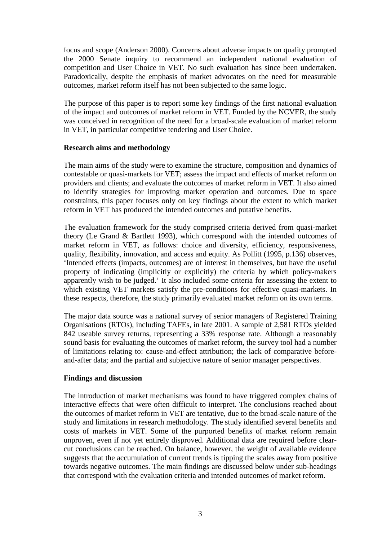focus and scope (Anderson 2000). Concerns about adverse impacts on quality prompted the 2000 Senate inquiry to recommend an independent national evaluation of competition and User Choice in VET. No such evaluation has since been undertaken. Paradoxically, despite the emphasis of market advocates on the need for measurable outcomes, market reform itself has not been subjected to the same logic.

The purpose of this paper is to report some key findings of the first national evaluation of the impact and outcomes of market reform in VET. Funded by the NCVER, the study was conceived in recognition of the need for a broad-scale evaluation of market reform in VET, in particular competitive tendering and User Choice.

### **Research aims and methodology**

The main aims of the study were to examine the structure, composition and dynamics of contestable or quasi-markets for VET; assess the impact and effects of market reform on providers and clients; and evaluate the outcomes of market reform in VET. It also aimed to identify strategies for improving market operation and outcomes. Due to space constraints, this paper focuses only on key findings about the extent to which market reform in VET has produced the intended outcomes and putative benefits.

The evaluation framework for the study comprised criteria derived from quasi-market theory (Le Grand & Bartlett 1993), which correspond with the intended outcomes of market reform in VET, as follows: choice and diversity, efficiency, responsiveness, quality, flexibility, innovation, and access and equity. As Pollitt (1995, p.136) observes, 'Intended effects (impacts, outcomes) are of interest in themselves, but have the useful property of indicating (implicitly or explicitly) the criteria by which policy-makers apparently wish to be judged.' It also included some criteria for assessing the extent to which existing VET markets satisfy the pre-conditions for effective quasi-markets. In these respects, therefore, the study primarily evaluated market reform on its own terms.

The major data source was a national survey of senior managers of Registered Training Organisations (RTOs), including TAFEs, in late 2001. A sample of 2,581 RTOs yielded 842 useable survey returns, representing a 33% response rate. Although a reasonably sound basis for evaluating the outcomes of market reform, the survey tool had a number of limitations relating to: cause-and-effect attribution; the lack of comparative beforeand-after data; and the partial and subjective nature of senior manager perspectives.

# **Findings and discussion**

The introduction of market mechanisms was found to have triggered complex chains of interactive effects that were often difficult to interpret. The conclusions reached about the outcomes of market reform in VET are tentative, due to the broad-scale nature of the study and limitations in research methodology. The study identified several benefits and costs of markets in VET. Some of the purported benefits of market reform remain unproven, even if not yet entirely disproved. Additional data are required before clearcut conclusions can be reached. On balance, however, the weight of available evidence suggests that the accumulation of current trends is tipping the scales away from positive towards negative outcomes. The main findings are discussed below under sub-headings that correspond with the evaluation criteria and intended outcomes of market reform.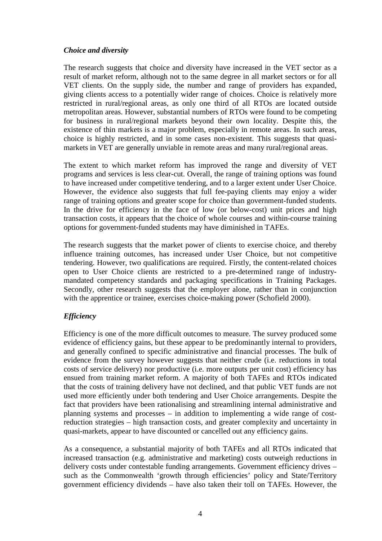### *Choice and diversity*

The research suggests that choice and diversity have increased in the VET sector as a result of market reform, although not to the same degree in all market sectors or for all VET clients. On the supply side, the number and range of providers has expanded, giving clients access to a potentially wider range of choices. Choice is relatively more restricted in rural/regional areas, as only one third of all RTOs are located outside metropolitan areas. However, substantial numbers of RTOs were found to be competing for business in rural/regional markets beyond their own locality. Despite this, the existence of thin markets is a major problem, especially in remote areas. In such areas, choice is highly restricted, and in some cases non-existent. This suggests that quasimarkets in VET are generally unviable in remote areas and many rural/regional areas.

The extent to which market reform has improved the range and diversity of VET programs and services is less clear-cut. Overall, the range of training options was found to have increased under competitive tendering, and to a larger extent under User Choice. However, the evidence also suggests that full fee-paying clients may enjoy a wider range of training options and greater scope for choice than government-funded students. In the drive for efficiency in the face of low (or below-cost) unit prices and high transaction costs, it appears that the choice of whole courses and within-course training options for government-funded students may have diminished in TAFEs.

The research suggests that the market power of clients to exercise choice, and thereby influence training outcomes, has increased under User Choice, but not competitive tendering. However, two qualifications are required. Firstly, the content-related choices open to User Choice clients are restricted to a pre-determined range of industrymandated competency standards and packaging specifications in Training Packages. Secondly, other research suggests that the employer alone, rather than in conjunction with the apprentice or trainee, exercises choice-making power (Schofield 2000).

# *Efficiency*

Efficiency is one of the more difficult outcomes to measure. The survey produced some evidence of efficiency gains, but these appear to be predominantly internal to providers, and generally confined to specific administrative and financial processes. The bulk of evidence from the survey however suggests that neither crude (i.e. reductions in total costs of service delivery) nor productive (i.e. more outputs per unit cost) efficiency has ensued from training market reform. A majority of both TAFEs and RTOs indicated that the costs of training delivery have not declined, and that public VET funds are not used more efficiently under both tendering and User Choice arrangements. Despite the fact that providers have been rationalising and streamlining internal administrative and planning systems and processes – in addition to implementing a wide range of costreduction strategies – high transaction costs, and greater complexity and uncertainty in quasi-markets, appear to have discounted or cancelled out any efficiency gains.

As a consequence, a substantial majority of both TAFEs and all RTOs indicated that increased transaction (e.g. administrative and marketing) costs outweigh reductions in delivery costs under contestable funding arrangements. Government efficiency drives – such as the Commonwealth 'growth through efficiencies' policy and State/Territory government efficiency dividends – have also taken their toll on TAFEs. However, the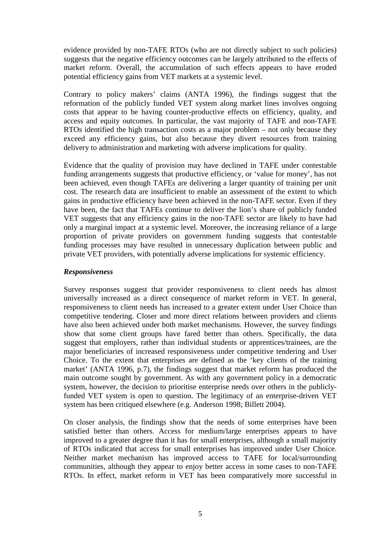evidence provided by non-TAFE RTOs (who are not directly subject to such policies) suggests that the negative efficiency outcomes can be largely attributed to the effects of market reform. Overall, the accumulation of such effects appears to have eroded potential efficiency gains from VET markets at a systemic level.

Contrary to policy makers' claims (ANTA 1996), the findings suggest that the reformation of the publicly funded VET system along market lines involves ongoing costs that appear to be having counter-productive effects on efficiency, quality, and access and equity outcomes. In particular, the vast majority of TAFE and non-TAFE RTOs identified the high transaction costs as a major problem – not only because they exceed any efficiency gains, but also because they divert resources from training delivery to administration and marketing with adverse implications for quality.

Evidence that the quality of provision may have declined in TAFE under contestable funding arrangements suggests that productive efficiency, or 'value for money', has not been achieved, even though TAFEs are delivering a larger quantity of training per unit cost. The research data are insufficient to enable an assessment of the extent to which gains in productive efficiency have been achieved in the non-TAFE sector. Even if they have been, the fact that TAFEs continue to deliver the lion's share of publicly funded VET suggests that any efficiency gains in the non-TAFE sector are likely to have had only a marginal impact at a systemic level. Moreover, the increasing reliance of a large proportion of private providers on government funding suggests that contestable funding processes may have resulted in unnecessary duplication between public and private VET providers, with potentially adverse implications for systemic efficiency.

#### *Responsiveness*

Survey responses suggest that provider responsiveness to client needs has almost universally increased as a direct consequence of market reform in VET. In general, responsiveness to client needs has increased to a greater extent under User Choice than competitive tendering. Closer and more direct relations between providers and clients have also been achieved under both market mechanisms. However, the survey findings show that some client groups have fared better than others. Specifically, the data suggest that employers, rather than individual students or apprentices/trainees, are the major beneficiaries of increased responsiveness under competitive tendering and User Choice. To the extent that enterprises are defined as the 'key clients of the training market' (ANTA 1996, p.7), the findings suggest that market reform has produced the main outcome sought by government. As with any government policy in a democratic system, however, the decision to prioritise enterprise needs over others in the publiclyfunded VET system is open to question. The legitimacy of an enterprise-driven VET system has been critiqued elsewhere (e.g. Anderson 1998; Billett 2004).

On closer analysis, the findings show that the needs of some enterprises have been satisfied better than others. Access for medium/large enterprises appears to have improved to a greater degree than it has for small enterprises, although a small majority of RTOs indicated that access for small enterprises has improved under User Choice. Neither market mechanism has improved access to TAFE for local/surrounding communities, although they appear to enjoy better access in some cases to non-TAFE RTOs. In effect, market reform in VET has been comparatively more successful in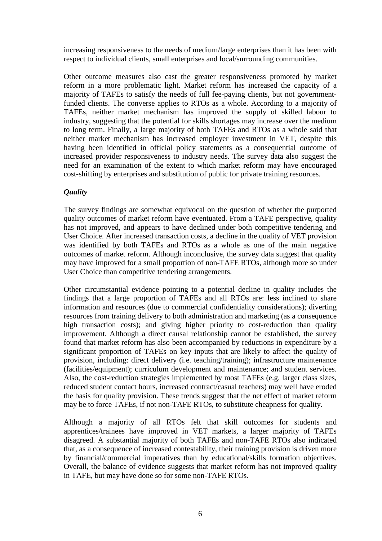increasing responsiveness to the needs of medium/large enterprises than it has been with respect to individual clients, small enterprises and local/surrounding communities.

Other outcome measures also cast the greater responsiveness promoted by market reform in a more problematic light. Market reform has increased the capacity of a majority of TAFEs to satisfy the needs of full fee-paying clients, but not governmentfunded clients. The converse applies to RTOs as a whole. According to a majority of TAFEs, neither market mechanism has improved the supply of skilled labour to industry, suggesting that the potential for skills shortages may increase over the medium to long term. Finally, a large majority of both TAFEs and RTOs as a whole said that neither market mechanism has increased employer investment in VET, despite this having been identified in official policy statements as a consequential outcome of increased provider responsiveness to industry needs. The survey data also suggest the need for an examination of the extent to which market reform may have encouraged cost-shifting by enterprises and substitution of public for private training resources.

# *Quality*

The survey findings are somewhat equivocal on the question of whether the purported quality outcomes of market reform have eventuated. From a TAFE perspective, quality has not improved, and appears to have declined under both competitive tendering and User Choice. After increased transaction costs, a decline in the quality of VET provision was identified by both TAFEs and RTOs as a whole as one of the main negative outcomes of market reform. Although inconclusive, the survey data suggest that quality may have improved for a small proportion of non-TAFE RTOs, although more so under User Choice than competitive tendering arrangements.

Other circumstantial evidence pointing to a potential decline in quality includes the findings that a large proportion of TAFEs and all RTOs are: less inclined to share information and resources (due to commercial confidentiality considerations); diverting resources from training delivery to both administration and marketing (as a consequence high transaction costs); and giving higher priority to cost-reduction than quality improvement. Although a direct causal relationship cannot be established, the survey found that market reform has also been accompanied by reductions in expenditure by a significant proportion of TAFEs on key inputs that are likely to affect the quality of provision, including: direct delivery (i.e. teaching/training); infrastructure maintenance (facilities/equipment); curriculum development and maintenance; and student services. Also, the cost-reduction strategies implemented by most TAFEs (e.g. larger class sizes, reduced student contact hours, increased contract/casual teachers) may well have eroded the basis for quality provision. These trends suggest that the net effect of market reform may be to force TAFEs, if not non-TAFE RTOs, to substitute cheapness for quality.

Although a majority of all RTOs felt that skill outcomes for students and apprentices/trainees have improved in VET markets, a larger majority of TAFEs disagreed. A substantial majority of both TAFEs and non-TAFE RTOs also indicated that, as a consequence of increased contestability, their training provision is driven more by financial/commercial imperatives than by educational/skills formation objectives. Overall, the balance of evidence suggests that market reform has not improved quality in TAFE, but may have done so for some non-TAFE RTOs.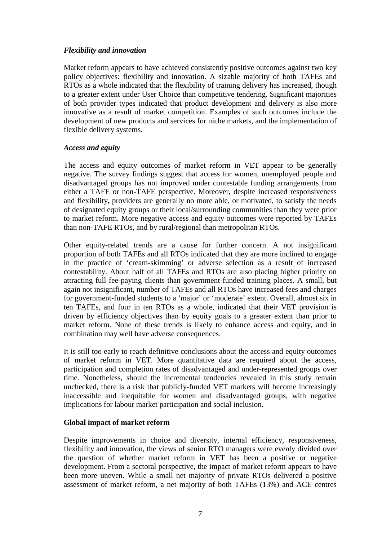### *Flexibility and innovation*

Market reform appears to have achieved consistently positive outcomes against two key policy objectives: flexibility and innovation. A sizable majority of both TAFEs and RTOs as a whole indicated that the flexibility of training delivery has increased, though to a greater extent under User Choice than competitive tendering. Significant majorities of both provider types indicated that product development and delivery is also more innovative as a result of market competition. Examples of such outcomes include the development of new products and services for niche markets, and the implementation of flexible delivery systems.

#### *Access and equity*

The access and equity outcomes of market reform in VET appear to be generally negative. The survey findings suggest that access for women, unemployed people and disadvantaged groups has not improved under contestable funding arrangements from either a TAFE or non-TAFE perspective. Moreover, despite increased responsiveness and flexibility, providers are generally no more able, or motivated, to satisfy the needs of designated equity groups or their local/surrounding communities than they were prior to market reform. More negative access and equity outcomes were reported by TAFEs than non-TAFE RTOs, and by rural/regional than metropolitan RTOs.

Other equity-related trends are a cause for further concern. A not insignificant proportion of both TAFEs and all RTOs indicated that they are more inclined to engage in the practice of 'cream-skimming' or adverse selection as a result of increased contestability. About half of all TAFEs and RTOs are also placing higher priority on attracting full fee-paying clients than government-funded training places. A small, but again not insignificant, number of TAFEs and all RTOs have increased fees and charges for government-funded students to a 'major' or 'moderate' extent. Overall, almost six in ten TAFEs, and four in ten RTOs as a whole, indicated that their VET provision is driven by efficiency objectives than by equity goals to a greater extent than prior to market reform. None of these trends is likely to enhance access and equity, and in combination may well have adverse consequences.

It is still too early to reach definitive conclusions about the access and equity outcomes of market reform in VET. More quantitative data are required about the access, participation and completion rates of disadvantaged and under-represented groups over time. Nonetheless, should the incremental tendencies revealed in this study remain unchecked, there is a risk that publicly-funded VET markets will become increasingly inaccessible and inequitable for women and disadvantaged groups, with negative implications for labour market participation and social inclusion.

#### **Global impact of market reform**

Despite improvements in choice and diversity, internal efficiency, responsiveness, flexibility and innovation, the views of senior RTO managers were evenly divided over the question of whether market reform in VET has been a positive or negative development. From a sectoral perspective, the impact of market reform appears to have been more uneven. While a small net majority of private RTOs delivered a positive assessment of market reform, a net majority of both TAFEs (13%) and ACE centres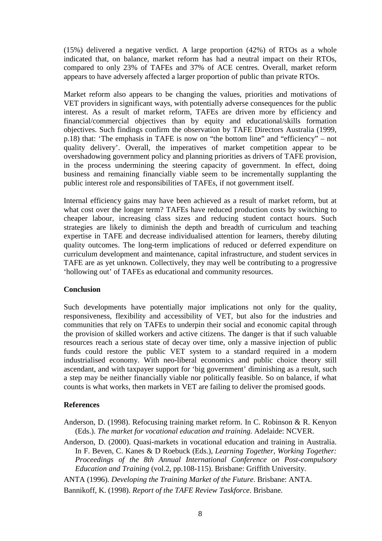(15%) delivered a negative verdict. A large proportion (42%) of RTOs as a whole indicated that, on balance, market reform has had a neutral impact on their RTOs, compared to only 23% of TAFEs and 37% of ACE centres. Overall, market reform appears to have adversely affected a larger proportion of public than private RTOs.

Market reform also appears to be changing the values, priorities and motivations of VET providers in significant ways, with potentially adverse consequences for the public interest. As a result of market reform, TAFEs are driven more by efficiency and financial/commercial objectives than by equity and educational/skills formation objectives. Such findings confirm the observation by TAFE Directors Australia (1999, p.18) that: 'The emphasis in TAFE is now on "the bottom line" and "efficiency" – not quality delivery'. Overall, the imperatives of market competition appear to be overshadowing government policy and planning priorities as drivers of TAFE provision, in the process undermining the steering capacity of government. In effect, doing business and remaining financially viable seem to be incrementally supplanting the public interest role and responsibilities of TAFEs, if not government itself.

Internal efficiency gains may have been achieved as a result of market reform, but at what cost over the longer term? TAFEs have reduced production costs by switching to cheaper labour, increasing class sizes and reducing student contact hours. Such strategies are likely to diminish the depth and breadth of curriculum and teaching expertise in TAFE and decrease individualised attention for learners, thereby diluting quality outcomes. The long-term implications of reduced or deferred expenditure on curriculum development and maintenance, capital infrastructure, and student services in TAFE are as yet unknown. Collectively, they may well be contributing to a progressive 'hollowing out' of TAFEs as educational and community resources.

#### **Conclusion**

Such developments have potentially major implications not only for the quality, responsiveness, flexibility and accessibility of VET, but also for the industries and communities that rely on TAFEs to underpin their social and economic capital through the provision of skilled workers and active citizens. The danger is that if such valuable resources reach a serious state of decay over time, only a massive injection of public funds could restore the public VET system to a standard required in a modern industrialised economy. With neo-liberal economics and public choice theory still ascendant, and with taxpayer support for 'big government' diminishing as a result, such a step may be neither financially viable nor politically feasible. So on balance, if what counts is what works, then markets in VET are failing to deliver the promised goods.

#### **References**

- Anderson, D. (1998). Refocusing training market reform. In C. Robinson & R. Kenyon (Eds.). *The market for vocational education and training*. Adelaide: NCVER.
- Anderson, D. (2000). Quasi-markets in vocational education and training in Australia. In F. Beven, C. Kanes & D Roebuck (Eds.), *Learning Together, Working Together: Proceedings of the 8th Annual International Conference on Post-compulsory Education and Training* (vol.2, pp.108-115). Brisbane: Griffith University.

ANTA (1996). *Developing the Training Market of the Future*. Brisbane: ANTA.

Bannikoff, K. (1998). *Report of the TAFE Review Taskforce*. Brisbane.